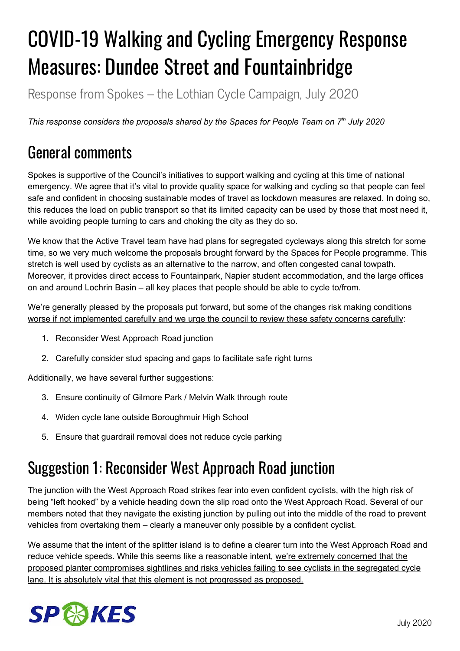# COVID-19 Walking and Cycling Emergency Response Measures: Dundee Street and Fountainbridge

Response from Spokes – the Lothian Cycle Campaign, July 2020

*This response considers the proposals shared by the Spaces for People Team on 7 th July 2020*

# General comments

Spokes is supportive of the Council's initiatives to support walking and cycling at this time of national emergency. We agree that it's vital to provide quality space for walking and cycling so that people can feel safe and confident in choosing sustainable modes of travel as lockdown measures are relaxed. In doing so, this reduces the load on public transport so that its limited capacity can be used by those that most need it, while avoiding people turning to cars and choking the city as they do so.

We know that the Active Travel team have had plans for segregated cycleways along this stretch for some time, so we very much welcome the proposals brought forward by the Spaces for People programme. This stretch is well used by cyclists as an alternative to the narrow, and often congested canal towpath. Moreover, it provides direct access to Fountainpark, Napier student accommodation, and the large offices on and around Lochrin Basin – all key places that people should be able to cycle to/from.

We're generally pleased by the proposals put forward, but some of the changes risk making conditions worse if not implemented carefully and we urge the council to review these safety concerns carefully:

- 1. Reconsider West Approach Road junction
- 2. Carefully consider stud spacing and gaps to facilitate safe right turns

Additionally, we have several further suggestions:

- 3. Ensure continuity of Gilmore Park / Melvin Walk through route
- 4. Widen cycle lane outside Boroughmuir High School
- 5. Ensure that guardrail removal does not reduce cycle parking

# Suggestion 1: Reconsider West Approach Road junction

The junction with the West Approach Road strikes fear into even confident cyclists, with the high risk of being "left hooked" by a vehicle heading down the slip road onto the West Approach Road. Several of our members noted that they navigate the existing junction by pulling out into the middle of the road to prevent vehicles from overtaking them – clearly a maneuver only possible by a confident cyclist.

We assume that the intent of the splitter island is to define a clearer turn into the West Approach Road and reduce vehicle speeds. While this seems like a reasonable intent, we're extremely concerned that the proposed planter compromises sightlines and risks vehicles failing to see cyclists in the segregated cycle lane. It is absolutely vital that this element is not progressed as proposed.

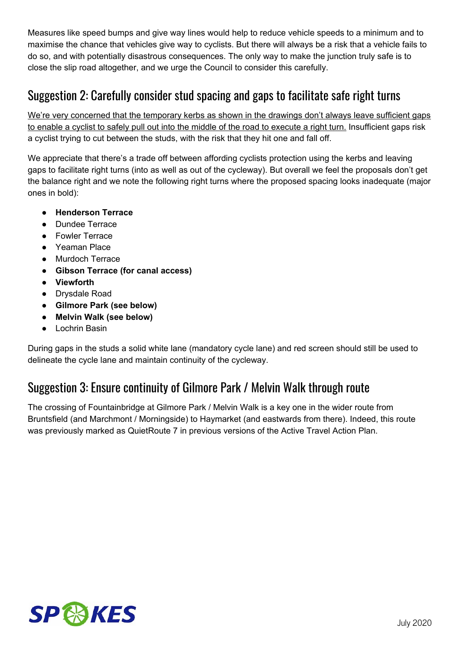Measures like speed bumps and give way lines would help to reduce vehicle speeds to a minimum and to maximise the chance that vehicles give way to cyclists. But there will always be a risk that a vehicle fails to do so, and with potentially disastrous consequences. The only way to make the junction truly safe is to close the slip road altogether, and we urge the Council to consider this carefully.

## Suggestion 2: Carefully consider stud spacing and gaps to facilitate safe right turns

We're very concerned that the temporary kerbs as shown in the drawings don't always leave sufficient gaps to enable a cyclist to safely pull out into the middle of the road to execute a right turn. Insufficient gaps risk a cyclist trying to cut between the studs, with the risk that they hit one and fall off.

We appreciate that there's a trade off between affording cyclists protection using the kerbs and leaving gaps to facilitate right turns (into as well as out of the cycleway). But overall we feel the proposals don't get the balance right and we note the following right turns where the proposed spacing looks inadequate (major ones in bold):

- **Henderson Terrace**
- Dundee Terrace
- Fowler Terrace
- Yeaman Place
- Murdoch Terrace
- **Gibson Terrace (for canal access)**
- **Viewforth**
- Drysdale Road
- **Gilmore Park (see below)**
- **Melvin Walk (see below)**
- Lochrin Basin

During gaps in the studs a solid white lane (mandatory cycle lane) and red screen should still be used to delineate the cycle lane and maintain continuity of the cycleway.

#### Suggestion 3: Ensure continuity of Gilmore Park / Melvin Walk through route

The crossing of Fountainbridge at Gilmore Park / Melvin Walk is a key one in the wider route from Bruntsfield (and Marchmont / Morningside) to Haymarket (and eastwards from there). Indeed, this route was previously marked as QuietRoute 7 in previous versions of the Active Travel Action Plan.